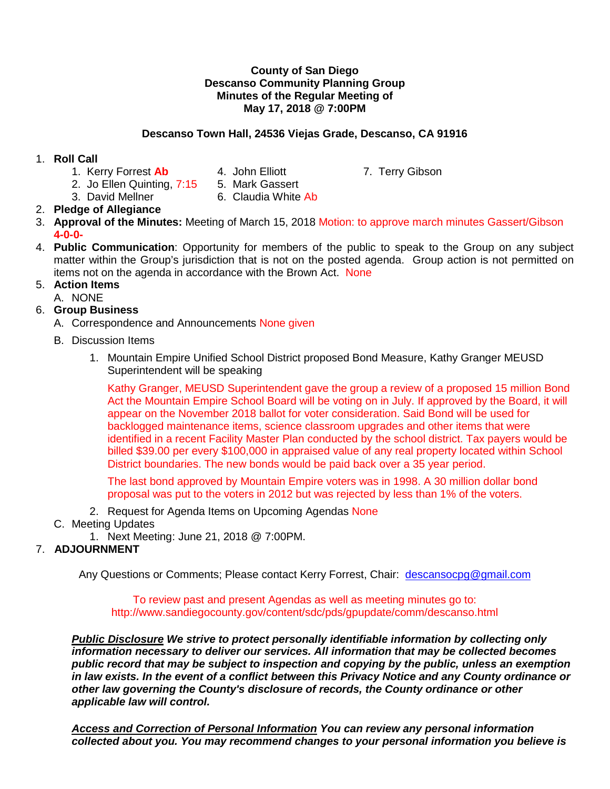#### **County of San Diego Descanso Community Planning Group Minutes of the Regular Meeting of May 17, 2018 @ 7:00PM**

## **Descanso Town Hall, 24536 Viejas Grade, Descanso, CA 91916**

## 1. **Roll Call**

- 1. Kerry Forrest Ab 4. John Elliott 7. Terry Gibson
	-

- 2. Jo Ellen Quinting, 7:15 5. Mark Gassert
- 3. David Mellner 6. Claudia White Ab
- 2. **Pledge of Allegiance**
- 3. **Approval of the Minutes:** Meeting of March 15, 2018 Motion: to approve march minutes Gassert/Gibson **4-0-0-**
- 4. **Public Communication**: Opportunity for members of the public to speak to the Group on any subject matter within the Group's jurisdiction that is not on the posted agenda. Group action is not permitted on items not on the agenda in accordance with the Brown Act. None

## 5. **Action Items**

A. NONE

# 6. **Group Business**

- A. Correspondence and Announcements None given
- B. Discussion Items
	- 1. Mountain Empire Unified School District proposed Bond Measure, Kathy Granger MEUSD Superintendent will be speaking

Kathy Granger, MEUSD Superintendent gave the group a review of a proposed 15 million Bond Act the Mountain Empire School Board will be voting on in July. If approved by the Board, it will appear on the November 2018 ballot for voter consideration. Said Bond will be used for backlogged maintenance items, science classroom upgrades and other items that were identified in a recent Facility Master Plan conducted by the school district. Tax payers would be billed \$39.00 per every \$100,000 in appraised value of any real property located within School District boundaries. The new bonds would be paid back over a 35 year period.

The last bond approved by Mountain Empire voters was in 1998. A 30 million dollar bond proposal was put to the voters in 2012 but was rejected by less than 1% of the voters.

- 2. Request for Agenda Items on Upcoming Agendas None
- C. Meeting Updates
	- 1. Next Meeting: June 21, 2018 @ 7:00PM.

# 7. **ADJOURNMENT**

Any Questions or Comments; Please contact Kerry Forrest, Chair: [descansocpg@gmail.com](mailto:descansocpg@gmail.com)

To review past and present Agendas as well as meeting minutes go to: http://www.sandiegocounty.gov/content/sdc/pds/gpupdate/comm/descanso.html

*Public Disclosure We strive to protect personally identifiable information by collecting only information necessary to deliver our services. All information that may be collected becomes public record that may be subject to inspection and copying by the public, unless an exemption in law exists. In the event of a conflict between this Privacy Notice and any County ordinance or other law governing the County's disclosure of records, the County ordinance or other applicable law will control.*

*Access and Correction of Personal Information You can review any personal information collected about you. You may recommend changes to your personal information you believe is*